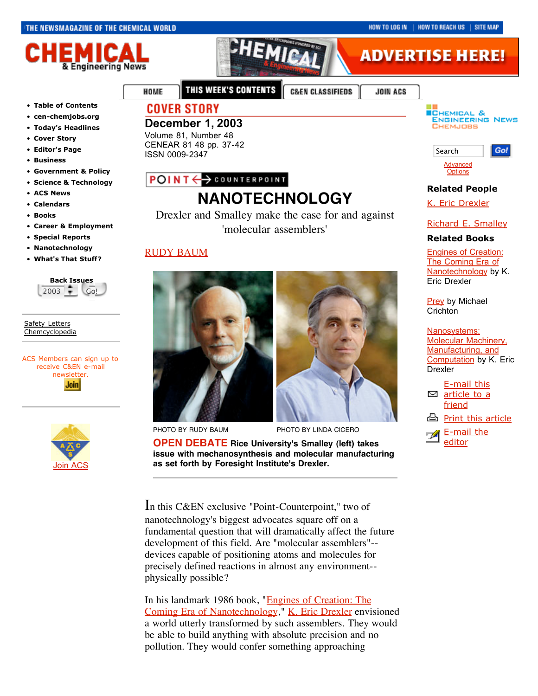#### THE NEWSMAGAZINE OF THE CHEMICAL WORLD





**ADVERTISE HERE!** 

- **Table of Contents**
- **cen-chemjobs.org**
- **Today's Headlines**
- **Cover Story**
- **Editor's Page**
- **Business**
- **Government & Policy**
- **Science & Technology**
- **ACS News**
- **Calendars**
- **Books**
- **Career & Employment**
- **Special Reports**
- **Nanotechnology**
- **What's That Stuff?**



Safety Letters Chemcyclopedia

ACS Members can sign up to receive C&EN e-mail newsletter. **Join** 



#### THIS WEEK'S CONTENTS HOME

**December 1, 2003** Volume 81, Number 48 CENEAR 81 48 pp. 37-42

**COVER STORY** 

## **C&EN CLASSIFIEDS**

**JOIN ACS** 

**ECHEMICAL & ENGINEERING NEWS CHEMJOBS** 



# **Related People**

K. Eric Drexler

#### Richard E. Smalley

#### **Related Books**

Engines of Creation: The Coming Era of Nanotechnology by K. Eric Drexler

Prey by Michael **Crichton** 

Nanosystems: Molecular Machinery, Manufacturing, and Computation by K. Eric Drexler

| X | E-mail this<br>article to a |
|---|-----------------------------|
|   | friend                      |
|   | <u>ි Print this article</u> |
|   | <b>E-mail the</b><br>editor |

ISSN 0009-2347  $POINT \leftrightarrow$ COUNTERPOINT

# **NANOTECHNOLOGY**

Drexler and Smalley make the case for and against 'molecular assemblers'

### RUDY BAUM



PHOTO BY RUDY BAUM PHOTO BY LINDA CICERO

**OPEN DEBATE Rice University's Smalley (left) takes issue with mechanosynthesis and molecular manufacturing as set forth by Foresight Institute's Drexler.**

In this C&EN exclusive "Point-Counterpoint," two of nanotechnology's biggest advocates square off on a fundamental question that will dramatically affect the future development of this field. Are "molecular assemblers"- devices capable of positioning atoms and molecules for precisely defined reactions in almost any environment- physically possible?

In his landmark 1986 book, "Engines of Creation: The Coming Era of Nanotechnology," K. Eric Drexler envisioned a world utterly transformed by such assemblers. They would be able to build anything with absolute precision and no pollution. They would confer something approaching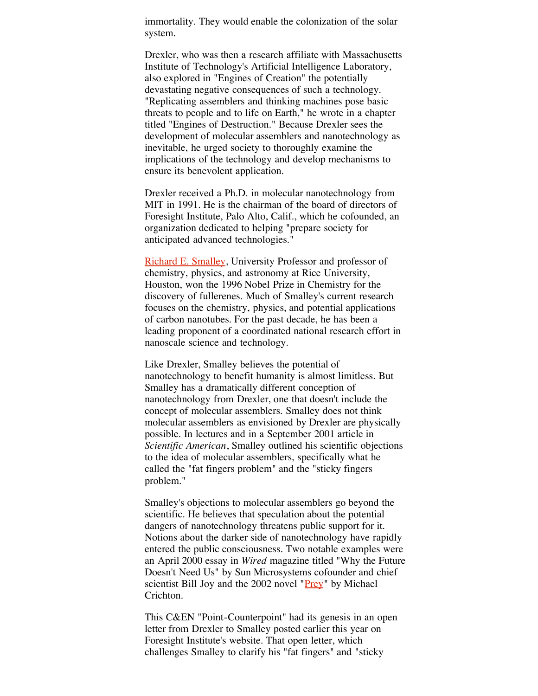immortality. They would enable the colonization of the solar system.

Drexler, who was then a research affiliate with Massachusetts Institute of Technology's Artificial Intelligence Laboratory, also explored in "Engines of Creation" the potentially devastating negative consequences of such a technology. "Replicating assemblers and thinking machines pose basic threats to people and to life on Earth," he wrote in a chapter titled "Engines of Destruction." Because Drexler sees the development of molecular assemblers and nanotechnology as inevitable, he urged society to thoroughly examine the implications of the technology and develop mechanisms to ensure its benevolent application.

Drexler received a Ph.D. in molecular nanotechnology from MIT in 1991. He is the chairman of the board of directors of Foresight Institute, Palo Alto, Calif., which he cofounded, an organization dedicated to helping "prepare society for anticipated advanced technologies."

Richard E. Smalley, University Professor and professor of chemistry, physics, and astronomy at Rice University, Houston, won the 1996 Nobel Prize in Chemistry for the discovery of fullerenes. Much of Smalley's current research focuses on the chemistry, physics, and potential applications of carbon nanotubes. For the past decade, he has been a leading proponent of a coordinated national research effort in nanoscale science and technology.

Like Drexler, Smalley believes the potential of nanotechnology to benefit humanity is almost limitless. But Smalley has a dramatically different conception of nanotechnology from Drexler, one that doesn't include the concept of molecular assemblers. Smalley does not think molecular assemblers as envisioned by Drexler are physically possible. In lectures and in a September 2001 article in *Scientific American*, Smalley outlined his scientific objections to the idea of molecular assemblers, specifically what he called the "fat fingers problem" and the "sticky fingers problem."

Smalley's objections to molecular assemblers go beyond the scientific. He believes that speculation about the potential dangers of nanotechnology threatens public support for it. Notions about the darker side of nanotechnology have rapidly entered the public consciousness. Two notable examples were an April 2000 essay in *Wired* magazine titled "Why the Future Doesn't Need Us" by Sun Microsystems cofounder and chief scientist Bill Joy and the 2002 novel "Prey" by Michael Crichton.

This C&EN "Point-Counterpoint" had its genesis in an open letter from Drexler to Smalley posted earlier this year on Foresight Institute's website. That open letter, which challenges Smalley to clarify his "fat fingers" and "sticky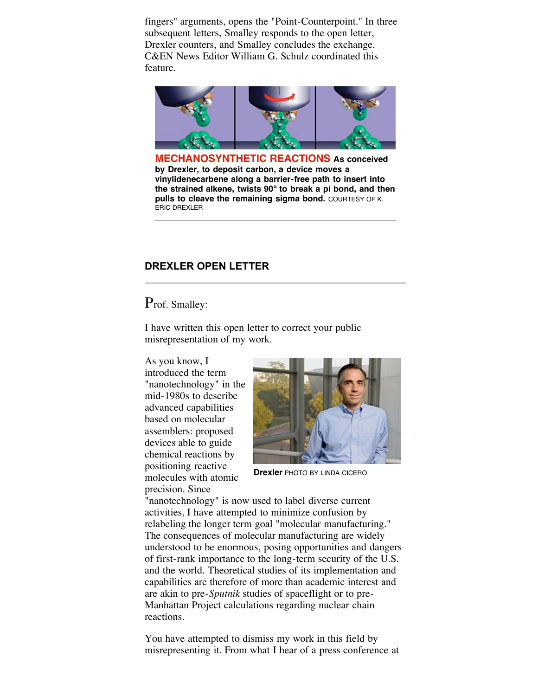fingers" arguments, opens the "Point-Counterpoint." In three subsequent letters, Smalley responds to the open letter, Drexler counters, and Smalley concludes the exchange. C&EN News Editor William G. Schulz coordinated this feature.



**MECHANOSYNTHETIC REACTIONS As conceived by Drexler, to deposit carbon, a device moves a vinylidenecarbene along a barrier-free path to insert into the strained alkene, twists 90º to break a pi bond, and then pulls to cleave the remaining sigma bond.** COURTESY OF K. ERIC DREXLER

# **DREXLER OPEN LETTER**

# Prof. Smalley:

I have written this open letter to correct your public misrepresentation of my work.

As you know, I introduced the term "nanotechnology" in the mid-1980s to describe advanced capabilities based on molecular assemblers: proposed devices able to guide chemical reactions by positioning reactive molecules with atomic precision. Since



**Drexler** PHOTO BY LINDA CICERO

"nanotechnology" is now used to label diverse current activities, I have attempted to minimize confusion by relabeling the longer term goal "molecular manufacturing." The consequences of molecular manufacturing are widely understood to be enormous, posing opportunities and dangers of first-rank importance to the long-term security of the U.S. and the world. Theoretical studies of its implementation and capabilities are therefore of more than academic interest and are akin to pre-*Sputnik* studies of spaceflight or to pre-Manhattan Project calculations regarding nuclear chain reactions.

You have attempted to dismiss my work in this field by misrepresenting it. From what I hear of a press conference at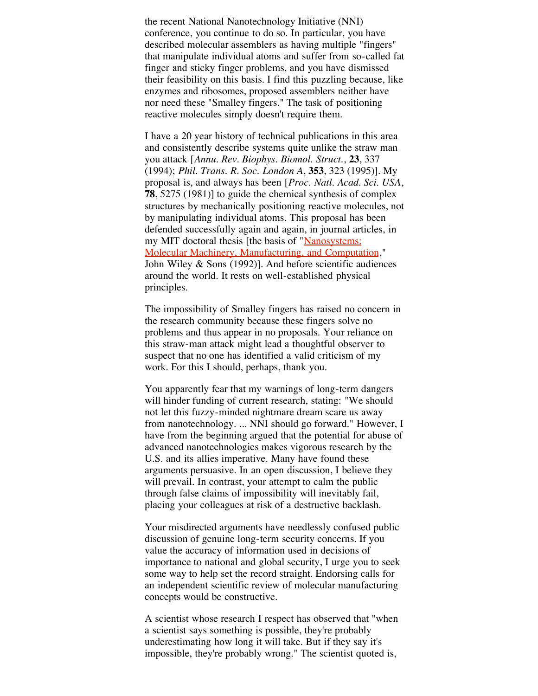the recent National Nanotechnology Initiative (NNI) conference, you continue to do so. In particular, you have described molecular assemblers as having multiple "fingers" that manipulate individual atoms and suffer from so-called fat finger and sticky finger problems, and you have dismissed their feasibility on this basis. I find this puzzling because, like enzymes and ribosomes, proposed assemblers neither have nor need these "Smalley fingers." The task of positioning reactive molecules simply doesn't require them.

I have a 20 year history of technical publications in this area and consistently describe systems quite unlike the straw man you attack [*Annu. Rev. Biophys. Biomol. Struct.*, **23**, 337 (1994); *Phil. Trans. R. Soc. London A*, **353**, 323 (1995)]. My proposal is, and always has been [*Proc. Natl. Acad. Sci. USA*, **78**, 5275 (1981)] to guide the chemical synthesis of complex structures by mechanically positioning reactive molecules, not by manipulating individual atoms. This proposal has been defended successfully again and again, in journal articles, in my MIT doctoral thesis [the basis of "Nanosystems: Molecular Machinery, Manufacturing, and Computation," John Wiley & Sons (1992)]. And before scientific audiences around the world. It rests on well-established physical principles.

The impossibility of Smalley fingers has raised no concern in the research community because these fingers solve no problems and thus appear in no proposals. Your reliance on this straw-man attack might lead a thoughtful observer to suspect that no one has identified a valid criticism of my work. For this I should, perhaps, thank you.

You apparently fear that my warnings of long-term dangers will hinder funding of current research, stating: "We should not let this fuzzy-minded nightmare dream scare us away from nanotechnology. ... NNI should go forward." However, I have from the beginning argued that the potential for abuse of advanced nanotechnologies makes vigorous research by the U.S. and its allies imperative. Many have found these arguments persuasive. In an open discussion, I believe they will prevail. In contrast, your attempt to calm the public through false claims of impossibility will inevitably fail, placing your colleagues at risk of a destructive backlash.

Your misdirected arguments have needlessly confused public discussion of genuine long-term security concerns. If you value the accuracy of information used in decisions of importance to national and global security, I urge you to seek some way to help set the record straight. Endorsing calls for an independent scientific review of molecular manufacturing concepts would be constructive.

A scientist whose research I respect has observed that "when a scientist says something is possible, they're probably underestimating how long it will take. But if they say it's impossible, they're probably wrong." The scientist quoted is,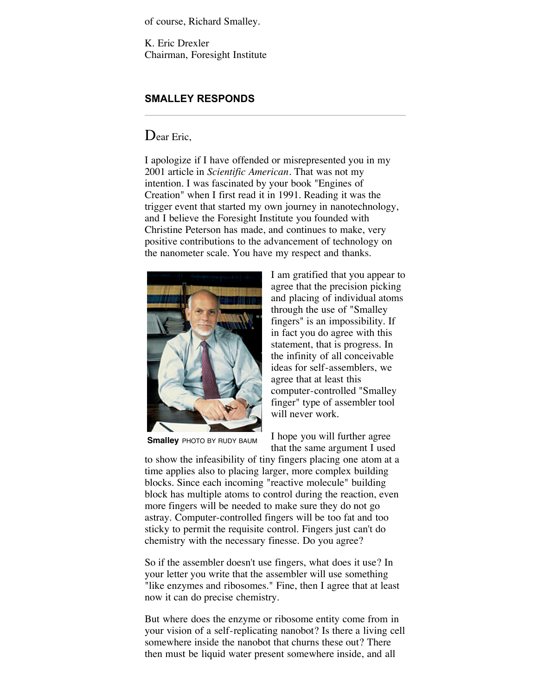of course, Richard Smalley.

K. Eric Drexler Chairman, Foresight Institute

## **SMALLEY RESPONDS**

# Dear Eric,

I apologize if I have offended or misrepresented you in my 2001 article in *Scientific American*. That was not my intention. I was fascinated by your book "Engines of Creation" when I first read it in 1991. Reading it was the trigger event that started my own journey in nanotechnology, and I believe the Foresight Institute you founded with Christine Peterson has made, and continues to make, very positive contributions to the advancement of technology on the nanometer scale. You have my respect and thanks.



**Smalley** PHOTO BY RUDY BAUM

I am gratified that you appear to agree that the precision picking and placing of individual atoms through the use of "Smalley fingers" is an impossibility. If in fact you do agree with this statement, that is progress. In the infinity of all conceivable ideas for self-assemblers, we agree that at least this computer-controlled "Smalley finger" type of assembler tool will never work.

I hope you will further agree that the same argument I used

to show the infeasibility of tiny fingers placing one atom at a time applies also to placing larger, more complex building blocks. Since each incoming "reactive molecule" building block has multiple atoms to control during the reaction, even more fingers will be needed to make sure they do not go astray. Computer-controlled fingers will be too fat and too sticky to permit the requisite control. Fingers just can't do chemistry with the necessary finesse. Do you agree?

So if the assembler doesn't use fingers, what does it use? In your letter you write that the assembler will use something "like enzymes and ribosomes." Fine, then I agree that at least now it can do precise chemistry.

But where does the enzyme or ribosome entity come from in your vision of a self-replicating nanobot? Is there a living cell somewhere inside the nanobot that churns these out? There then must be liquid water present somewhere inside, and all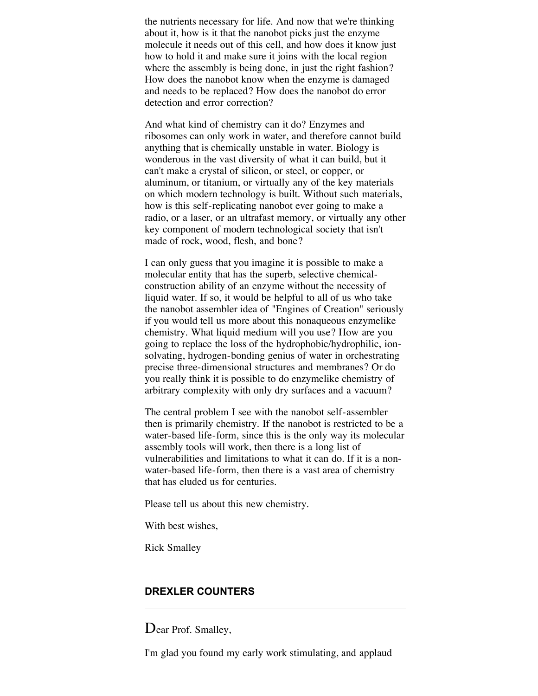the nutrients necessary for life. And now that we're thinking about it, how is it that the nanobot picks just the enzyme molecule it needs out of this cell, and how does it know just how to hold it and make sure it joins with the local region where the assembly is being done, in just the right fashion? How does the nanobot know when the enzyme is damaged and needs to be replaced? How does the nanobot do error detection and error correction?

And what kind of chemistry can it do? Enzymes and ribosomes can only work in water, and therefore cannot build anything that is chemically unstable in water. Biology is wonderous in the vast diversity of what it can build, but it can't make a crystal of silicon, or steel, or copper, or aluminum, or titanium, or virtually any of the key materials on which modern technology is built. Without such materials, how is this self-replicating nanobot ever going to make a radio, or a laser, or an ultrafast memory, or virtually any other key component of modern technological society that isn't made of rock, wood, flesh, and bone?

I can only guess that you imagine it is possible to make a molecular entity that has the superb, selective chemicalconstruction ability of an enzyme without the necessity of liquid water. If so, it would be helpful to all of us who take the nanobot assembler idea of "Engines of Creation" seriously if you would tell us more about this nonaqueous enzymelike chemistry. What liquid medium will you use? How are you going to replace the loss of the hydrophobic/hydrophilic, ionsolvating, hydrogen-bonding genius of water in orchestrating precise three-dimensional structures and membranes? Or do you really think it is possible to do enzymelike chemistry of arbitrary complexity with only dry surfaces and a vacuum?

The central problem I see with the nanobot self-assembler then is primarily chemistry. If the nanobot is restricted to be a water-based life-form, since this is the only way its molecular assembly tools will work, then there is a long list of vulnerabilities and limitations to what it can do. If it is a nonwater-based life-form, then there is a vast area of chemistry that has eluded us for centuries.

Please tell us about this new chemistry.

With best wishes,

Rick Smalley

### **DREXLER COUNTERS**

Dear Prof. Smalley,

I'm glad you found my early work stimulating, and applaud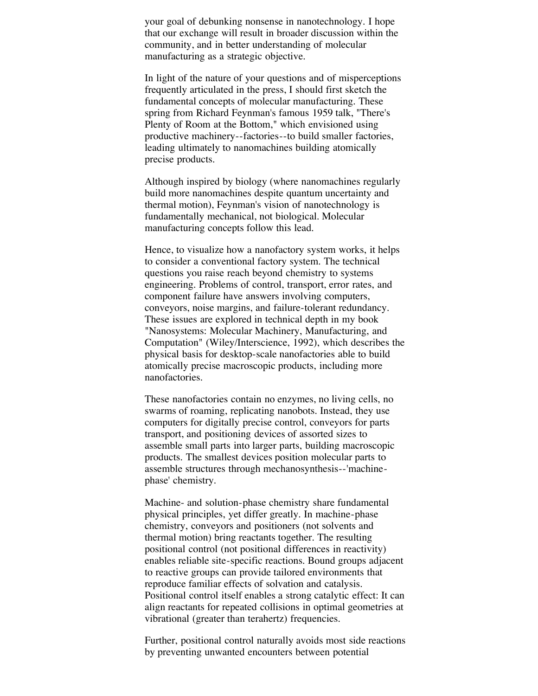your goal of debunking nonsense in nanotechnology. I hope that our exchange will result in broader discussion within the community, and in better understanding of molecular manufacturing as a strategic objective.

In light of the nature of your questions and of misperceptions frequently articulated in the press, I should first sketch the fundamental concepts of molecular manufacturing. These spring from Richard Feynman's famous 1959 talk, "There's Plenty of Room at the Bottom," which envisioned using productive machinery--factories--to build smaller factories, leading ultimately to nanomachines building atomically precise products.

Although inspired by biology (where nanomachines regularly build more nanomachines despite quantum uncertainty and thermal motion), Feynman's vision of nanotechnology is fundamentally mechanical, not biological. Molecular manufacturing concepts follow this lead.

Hence, to visualize how a nanofactory system works, it helps to consider a conventional factory system. The technical questions you raise reach beyond chemistry to systems engineering. Problems of control, transport, error rates, and component failure have answers involving computers, conveyors, noise margins, and failure-tolerant redundancy. These issues are explored in technical depth in my book "Nanosystems: Molecular Machinery, Manufacturing, and Computation" (Wiley/Interscience, 1992), which describes the physical basis for desktop-scale nanofactories able to build atomically precise macroscopic products, including more nanofactories.

These nanofactories contain no enzymes, no living cells, no swarms of roaming, replicating nanobots. Instead, they use computers for digitally precise control, conveyors for parts transport, and positioning devices of assorted sizes to assemble small parts into larger parts, building macroscopic products. The smallest devices position molecular parts to assemble structures through mechanosynthesis--'machinephase' chemistry.

Machine- and solution-phase chemistry share fundamental physical principles, yet differ greatly. In machine-phase chemistry, conveyors and positioners (not solvents and thermal motion) bring reactants together. The resulting positional control (not positional differences in reactivity) enables reliable site-specific reactions. Bound groups adjacent to reactive groups can provide tailored environments that reproduce familiar effects of solvation and catalysis. Positional control itself enables a strong catalytic effect: It can align reactants for repeated collisions in optimal geometries at vibrational (greater than terahertz) frequencies.

Further, positional control naturally avoids most side reactions by preventing unwanted encounters between potential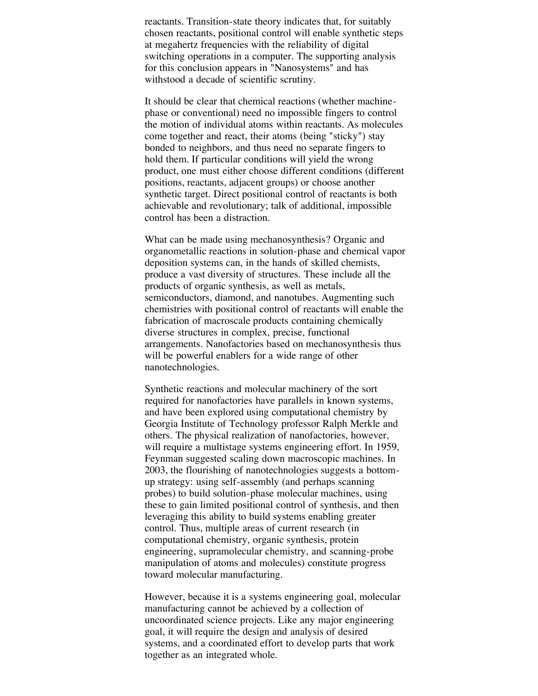reactants. Transition-state theory indicates that, for suitably chosen reactants, positional control will enable synthetic steps at megahertz frequencies with the reliability of digital switching operations in a computer. The supporting analysis for this conclusion appears in "Nanosystems" and has withstood a decade of scientific scrutiny.

It should be clear that chemical reactions (whether machinephase or conventional) need no impossible fingers to control the motion of individual atoms within reactants. As molecules come together and react, their atoms (being "sticky") stay bonded to neighbors, and thus need no separate fingers to hold them. If particular conditions will yield the wrong product, one must either choose different conditions (different positions, reactants, adjacent groups) or choose another synthetic target. Direct positional control of reactants is both achievable and revolutionary; talk of additional, impossible control has been a distraction.

What can be made using mechanosynthesis? Organic and organometallic reactions in solution-phase and chemical vapor deposition systems can, in the hands of skilled chemists, produce a vast diversity of structures. These include all the products of organic synthesis, as well as metals, semiconductors, diamond, and nanotubes. Augmenting such chemistries with positional control of reactants will enable the fabrication of macroscale products containing chemically diverse structures in complex, precise, functional arrangements. Nanofactories based on mechanosynthesis thus will be powerful enablers for a wide range of other nanotechnologies.

Synthetic reactions and molecular machinery of the sort required for nanofactories have parallels in known systems, and have been explored using computational chemistry by Georgia Institute of Technology professor Ralph Merkle and others. The physical realization of nanofactories, however, will require a multistage systems engineering effort. In 1959, Feynman suggested scaling down macroscopic machines. In 2003, the flourishing of nanotechnologies suggests a bottomup strategy: using self-assembly (and perhaps scanning probes) to build solution-phase molecular machines, using these to gain limited positional control of synthesis, and then leveraging this ability to build systems enabling greater control. Thus, multiple areas of current research (in computational chemistry, organic synthesis, protein engineering, supramolecular chemistry, and scanning-probe manipulation of atoms and molecules) constitute progress toward molecular manufacturing.

However, because it is a systems engineering goal, molecular manufacturing cannot be achieved by a collection of uncoordinated science projects. Like any major engineering goal, it will require the design and analysis of desired systems, and a coordinated effort to develop parts that work together as an integrated whole.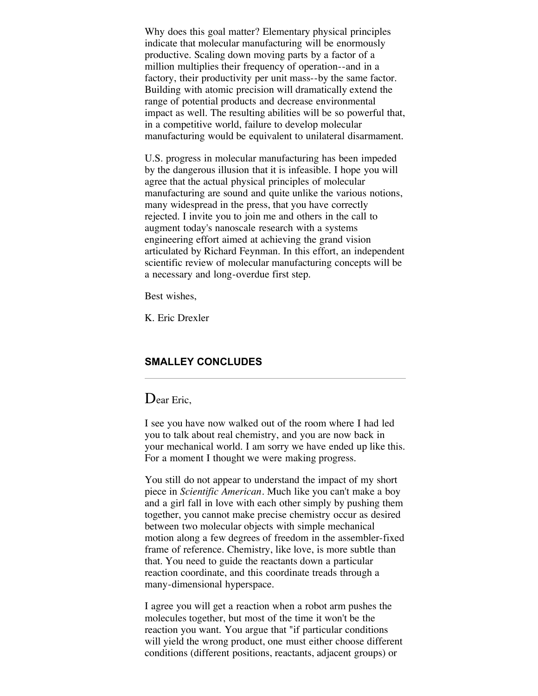Why does this goal matter? Elementary physical principles indicate that molecular manufacturing will be enormously productive. Scaling down moving parts by a factor of a million multiplies their frequency of operation--and in a factory, their productivity per unit mass--by the same factor. Building with atomic precision will dramatically extend the range of potential products and decrease environmental impact as well. The resulting abilities will be so powerful that, in a competitive world, failure to develop molecular manufacturing would be equivalent to unilateral disarmament.

U.S. progress in molecular manufacturing has been impeded by the dangerous illusion that it is infeasible. I hope you will agree that the actual physical principles of molecular manufacturing are sound and quite unlike the various notions, many widespread in the press, that you have correctly rejected. I invite you to join me and others in the call to augment today's nanoscale research with a systems engineering effort aimed at achieving the grand vision articulated by Richard Feynman. In this effort, an independent scientific review of molecular manufacturing concepts will be a necessary and long-overdue first step.

Best wishes,

K. Eric Drexler

### **SMALLEY CONCLUDES**

# Dear Eric,

I see you have now walked out of the room where I had led you to talk about real chemistry, and you are now back in your mechanical world. I am sorry we have ended up like this. For a moment I thought we were making progress.

You still do not appear to understand the impact of my short piece in *Scientific American*. Much like you can't make a boy and a girl fall in love with each other simply by pushing them together, you cannot make precise chemistry occur as desired between two molecular objects with simple mechanical motion along a few degrees of freedom in the assembler-fixed frame of reference. Chemistry, like love, is more subtle than that. You need to guide the reactants down a particular reaction coordinate, and this coordinate treads through a many-dimensional hyperspace.

I agree you will get a reaction when a robot arm pushes the molecules together, but most of the time it won't be the reaction you want. You argue that "if particular conditions will yield the wrong product, one must either choose different conditions (different positions, reactants, adjacent groups) or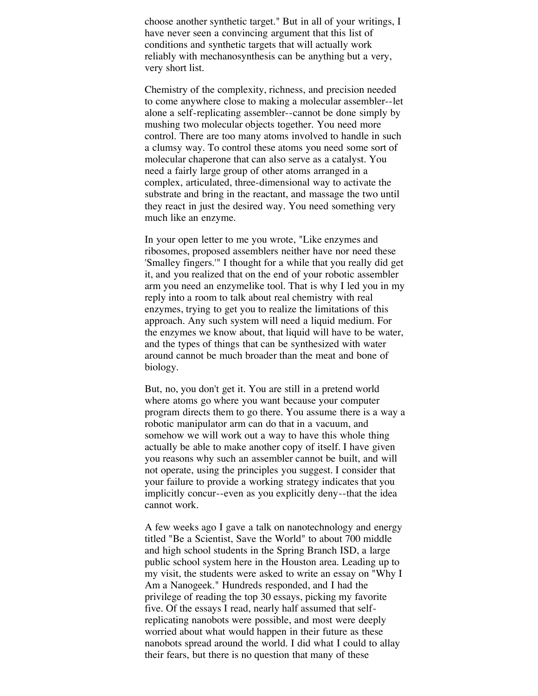choose another synthetic target." But in all of your writings, I have never seen a convincing argument that this list of conditions and synthetic targets that will actually work reliably with mechanosynthesis can be anything but a very, very short list.

Chemistry of the complexity, richness, and precision needed to come anywhere close to making a molecular assembler--let alone a self-replicating assembler--cannot be done simply by mushing two molecular objects together. You need more control. There are too many atoms involved to handle in such a clumsy way. To control these atoms you need some sort of molecular chaperone that can also serve as a catalyst. You need a fairly large group of other atoms arranged in a complex, articulated, three-dimensional way to activate the substrate and bring in the reactant, and massage the two until they react in just the desired way. You need something very much like an enzyme.

In your open letter to me you wrote, "Like enzymes and ribosomes, proposed assemblers neither have nor need these 'Smalley fingers.'" I thought for a while that you really did get it, and you realized that on the end of your robotic assembler arm you need an enzymelike tool. That is why I led you in my reply into a room to talk about real chemistry with real enzymes, trying to get you to realize the limitations of this approach. Any such system will need a liquid medium. For the enzymes we know about, that liquid will have to be water, and the types of things that can be synthesized with water around cannot be much broader than the meat and bone of biology.

But, no, you don't get it. You are still in a pretend world where atoms go where you want because your computer program directs them to go there. You assume there is a way a robotic manipulator arm can do that in a vacuum, and somehow we will work out a way to have this whole thing actually be able to make another copy of itself. I have given you reasons why such an assembler cannot be built, and will not operate, using the principles you suggest. I consider that your failure to provide a working strategy indicates that you implicitly concur--even as you explicitly deny--that the idea cannot work.

A few weeks ago I gave a talk on nanotechnology and energy titled "Be a Scientist, Save the World" to about 700 middle and high school students in the Spring Branch ISD, a large public school system here in the Houston area. Leading up to my visit, the students were asked to write an essay on "Why I Am a Nanogeek." Hundreds responded, and I had the privilege of reading the top 30 essays, picking my favorite five. Of the essays I read, nearly half assumed that selfreplicating nanobots were possible, and most were deeply worried about what would happen in their future as these nanobots spread around the world. I did what I could to allay their fears, but there is no question that many of these